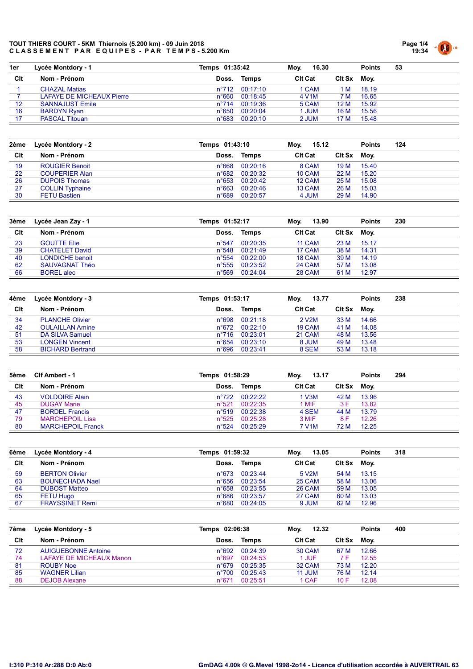

| 1er | Lycée Montdory - 1               | Temps 01:35:42  |                | 16.30<br>Mov.      |             | <b>Points</b> | 53 |
|-----|----------------------------------|-----------------|----------------|--------------------|-------------|---------------|----|
| Clt | Nom - Prénom                     | Doss.           | Temps          | <b>CIt Cat</b>     | Cit Sx Moy. |               |    |
|     | <b>CHAZAL Matias</b>             |                 | n°712 00:17:10 | 1 CAM              | 1 M         | 18.19         |    |
|     | <b>LAFAYE DE MICHEAUX Pierre</b> | n°660           | 00:18:45       | 4 V <sub>1</sub> M | 7 M         | 16.65         |    |
| 12  | <b>SANNAJUST Emile</b>           | $n^{\circ}$ 714 | 00:19:36       | 5 CAM              | 12 M        | 15.92         |    |
| 16  | <b>BARDYN Ryan</b>               | $n^{\circ}650$  | 00:20:04       | <b>JUM</b>         | 16 M        | 15.56         |    |
|     | <b>PASCAL Titouan</b>            | $n^{\circ}683$  | 00:20:10       | 2 JUM              | 17 M        | 15.48         |    |

| 2ème | Lycée Montdory - 2     | Temps 01:43:10 |          | Mov.<br>15.12  |               | <b>Points</b> | 124 |
|------|------------------------|----------------|----------|----------------|---------------|---------------|-----|
| Clt  | Nom - Prénom           | Doss.          | Temps    | <b>CIt Cat</b> | <b>CIt Sx</b> | Mov.          |     |
| 19   | <b>ROUGIER Benoit</b>  | $n^{\circ}668$ | 00:20:16 | 8 CAM          | 19 M          | 15.40         |     |
| 22   | <b>COUPERIER Alan</b>  | $n^{\circ}682$ | 00:20:32 | 10 CAM         | 22 M          | 15.20         |     |
| 26   | <b>DUPOIS Thomas</b>   | $n^{\circ}653$ | 00:20:42 | 12 CAM         | 25 M          | 15.08         |     |
| 27   | <b>COLLIN Typhaine</b> | $n^{\circ}663$ | 00:20:46 | 13 CAM         | 26 M          | 15.03         |     |
| 30   | <b>FETU Bastien</b>    | $n^{\circ}689$ | 00:20:57 | 4 JUM          | 29 M          | 14.90         |     |

| Lycée Jean Zay - 1    |                 |          | Mov.           |      | <b>Points</b> | 230    |
|-----------------------|-----------------|----------|----------------|------|---------------|--------|
| Nom - Prénom          | Doss.           | Temps    | <b>CIt Cat</b> |      | Mov.          |        |
| <b>GOUTTE Elie</b>    | $n^{\circ}547$  | 00:20:35 | 11 CAM         | 23 M | 15.17         |        |
| <b>CHATELET David</b> | $n^{\circ}548$  | 00:21:49 | 17 CAM         | 38 M | 14.31         |        |
| LONDICHE benoit       | $n^{\circ}554$  | 00:22:00 | 18 CAM         | 39 M | 14.19         |        |
| SAUVAGNAT Théo        | $n^{\circ}$ 555 | 00:23:52 | 24 CAM         | 57 M | 13.08         |        |
| <b>BOREL</b> alec     | $n^{\circ}569$  | 00:24:04 | 28 CAM         | 61 M | 12.97         |        |
|                       |                 |          | Temps 01:52:17 |      | 13.90         | Clt Sx |

| 4ème | Lycée Montdory - 3      | Temps 01:53:17 |          | 13.77<br>Mov.      |             | <b>Points</b> | 238 |
|------|-------------------------|----------------|----------|--------------------|-------------|---------------|-----|
| Clt  | Nom - Prénom            | Doss.          | Temps    | <b>CIt Cat</b>     | Cit Sx Moy. |               |     |
| 34   | <b>PLANCHE Olivier</b>  | n°698          | 00:21:18 | 2 V <sub>2</sub> M | 33 M        | 14.66         |     |
| 42   | <b>OULAILLAN Amine</b>  | n°672          | 00:22:10 | 19 CAM             | 41 M        | 14.08         |     |
| 51   | DA SILVA Samuel         | $n^{\circ}716$ | 00:23:01 | 21 CAM             | 48 M        | 13.56         |     |
| 53   | <b>LONGEN Vincent</b>   | $n^{\circ}654$ | 00:23:10 | 8 JUM              | 49 M        | 13.48         |     |
| 58   | <b>BICHARD Bertrand</b> | n°696          | 00:23:41 | 8 SEM              | 53 M        | 13.18         |     |

| 5ème | Clf Ambert - 1           | Temps 01:58:29 |                | 13.17<br>Moy.      |             | <b>Points</b> | 294 |
|------|--------------------------|----------------|----------------|--------------------|-------------|---------------|-----|
| Clt  | Nom - Prénom             | Doss.          | Temps          | <b>CIt Cat</b>     | Cit Sx Moy. |               |     |
| 43   | <b>VOLDOIRE Alain</b>    |                | n°722 00:22:22 | 1 V3M              | 42 M        | 13.96         |     |
| 45   | <b>DUGAY Marie</b>       | $n^{\circ}521$ | 00:22:35       | 1 MIF              | 3 F         | 13.82         |     |
| 47   | <b>BORDEL Francis</b>    |                | n°519 00:22:38 | 4 SEM              | 44 M        | 13.79         |     |
| 79   | <b>MARCHEPOIL Lisa</b>   |                | n°525 00:25:28 | 3 MIF              | 8 F         | 12.26         |     |
| 80   | <b>MARCHEPOIL Franck</b> | $n^{\circ}524$ | 00:25:29       | 7 V <sub>1</sub> M | 72 M        | 12.25         |     |

| 6ème | Lycée Montdory - 4     | Temps 01:59:32 |          | 13.05<br>Mov.      |               | <b>Points</b> | 318 |
|------|------------------------|----------------|----------|--------------------|---------------|---------------|-----|
| Clt  | Nom - Prénom           | Doss.          | Temps    | <b>CIt Cat</b>     | <b>CIt Sx</b> | Mov.          |     |
| 59   | <b>BERTON Olivier</b>  | $n^{\circ}673$ | 00:23:44 | 5 V <sub>2</sub> M | 54 M          | 13.15         |     |
| 63   | <b>BOUNECHADA Nael</b> | n°656          | 00:23:54 | 25 CAM             | 58 M          | 13.06         |     |
| 64   | <b>DUBOST Matteo</b>   | $n^{\circ}658$ | 00:23:55 | <b>26 CAM</b>      | 59 M          | 13.05         |     |
| 65   | <b>FETU Hugo</b>       | $n^{\circ}686$ | 00:23:57 | 27 CAM             | 60 M          | 13.03         |     |
| 67   | <b>FRAYSSINET Remi</b> | $n^{\circ}680$ | 00:24:05 | 9 JUM              | 62 M          | 12.96         |     |

| Lycée Montdory - 5         |                |          | Mov.                       |      | <b>Points</b> | 400            |
|----------------------------|----------------|----------|----------------------------|------|---------------|----------------|
| Nom - Prénom               | Doss.          | Temps    | <b>CIt Cat</b>             |      |               |                |
| <b>AUIGUEBONNE Antoine</b> | $n^{\circ}692$ |          | 30 CAM                     | 67 M | 12.66         |                |
| LAFAYE DE MICHEAUX Manon   | $n^{\circ}697$ | 00:24:53 | 1 JUF                      |      | 12.55         |                |
| ROUBY Noe                  | $n^{\circ}679$ | 00:25:35 | 32 CAM                     | 73 M | 12.20         |                |
| <b>WAGNER Lilian</b>       | $n^{\circ}700$ | 00:25:43 | 11 JUM                     | 76 M | 12.14         |                |
| <b>DEJOB Alexane</b>       | $n^{\circ}671$ | 00:25:51 | 1 CAF                      | 10 F | 12.08         |                |
|                            |                |          | Temps 02:06:38<br>00:24:39 |      | 12.32         | Clt Sx<br>Mov. |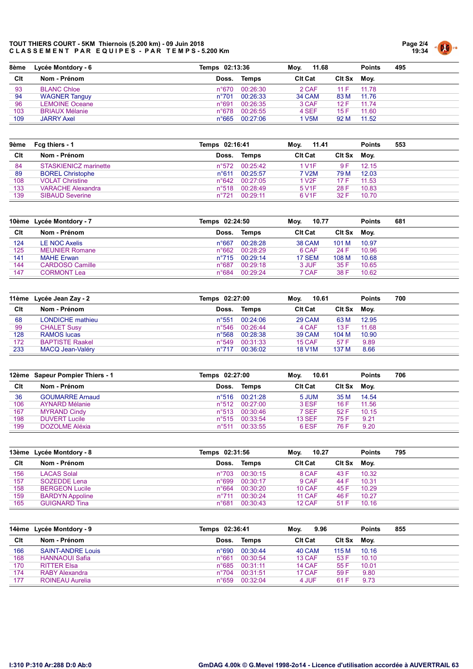

| 8ème | Lycée Montdory - 6    | Temps 02:13:36 |                | 11.68<br>Mov.  |             | <b>Points</b> | 495 |
|------|-----------------------|----------------|----------------|----------------|-------------|---------------|-----|
| Clt  | Nom - Prénom          | Doss.          | Temps          | <b>CIt Cat</b> | Cit Sx Moy. |               |     |
| 93   | <b>BLANC Chloe</b>    | n°670          | 00:26:30       | 2 CAF          | 11 F        | 11.78         |     |
| 94   | <b>WAGNER Tanguy</b>  | $n^{\circ}701$ | 00:26:33       | <b>34 CAM</b>  | 83 M        | 11.76         |     |
| 96   | <b>LEMOINE Oceane</b> | n°691          | 00:26:35       | 3 CAF          | 12 F        | 11.74         |     |
| 103  | <b>BRIAUX Mélanie</b> | $n^{\circ}678$ | 00:26:55       | 4 SEF          | 15 F        | 11.60         |     |
| 109  | <b>JARRY Axel</b>     |                | n°665 00:27:06 | I V5M          | 92 M        | 11.52         |     |

| 9ème | Fcg thiers - 1           | Temps 02:16:41 |          | 11.41<br>Moy.      |        | <b>Points</b> | 553 |
|------|--------------------------|----------------|----------|--------------------|--------|---------------|-----|
| Clt  | Nom - Prénom             | Doss.          | Temps    | <b>Cit Cat</b>     | Clt Sx | Mov.          |     |
| 84   | STASKIENICZ marinette    | $n^{\circ}572$ | 00:25:42 | 1 V1F              | 9 F    | 12.15         |     |
| 89   | <b>BOREL Christophe</b>  | $n^{\circ}611$ | 00:25:57 | 7 V2M              | 79 M   | 12.03         |     |
| 108  | <b>VOLAT Christine</b>   | $n^{\circ}642$ | 00:27:05 | 1 V2F              | 17F    | 11.53         |     |
| 133  | <b>VARACHE Alexandra</b> | $n^{\circ}518$ | 00:28:49 | 5 V <sub>1</sub> F | 28 F   | 10.83         |     |
| 139  | <b>SIBAUD Severine</b>   | $n^{\circ}721$ | 00.2911  | 6 V <sub>1</sub> F | 32 F   | 10.70         |     |

|     | 10ème Lycée Montdory - 7 |                 | Temps 02:24:50 |                | 10.77<br>Mov. |       | 681 |
|-----|--------------------------|-----------------|----------------|----------------|---------------|-------|-----|
| Clt | Nom - Prénom             | Doss.           | Temps          | <b>CIt Cat</b> | Clt Sx        | Mov.  |     |
| 124 | <b>LE NOC Axelis</b>     | $n^{\circ}667$  | 00:28:28       | <b>38 CAM</b>  | 101 M         | 10.97 |     |
| 125 | <b>MEUNIER Romane</b>    | $n^{\circ}662$  | 00:28:29       | 6 CAF          | 24 F          | 10.96 |     |
| 141 | MAHE Erwan               | $n^{\circ}$ 715 | 00:29:14       | 17 SEM         | 108 M         | 10.68 |     |
| 144 | <b>CARDOSO Camille</b>   | $n^{\circ}687$  | 00:29:18       | 3 JUF          | 35 F          | 10.65 |     |
| 147 | <b>CORMONT Lea</b>       | $n^{\circ}684$  | 00:29:24       | 7 CAF          | 38 F          | 10.62 |     |

|     | 11ème Lycée Jean Zay - 2 | Temps 02:27:00 |          | 10.61<br>Mov.  |               | <b>Points</b> | 700 |
|-----|--------------------------|----------------|----------|----------------|---------------|---------------|-----|
| Clt | Nom - Prénom             | Doss.          | Temps    | <b>CIt Cat</b> | <b>CIt Sx</b> | Moy.          |     |
| 68  | LONDICHE mathieu         | $n^{\circ}551$ | 00:24:06 | 29 CAM         | 63 M          | 12.95         |     |
| 99  | <b>CHALET Susy</b>       | $n^{\circ}546$ | 00:26:44 | 4 CAF          | 13F           | 11.68         |     |
| 128 | <b>RAMOS</b> lucas       | $n^{\circ}568$ | 00:28:38 | 39 CAM         | 104 M         | 10.90         |     |
| 172 | <b>BAPTISTE Raakel</b>   | $n^{\circ}549$ | 00:31:33 | 15 CAF         | 57 F          | 9.89          |     |
| 233 | MACQ Jean-Valéry         | $n^{\circ}717$ | 00:36:02 | <b>18 V1M</b>  | 137 M         | 8.66          |     |

|     | 12ème Sapeur Pompier Thiers - 1 | Temps 02:27:00 |          | 10.61<br>Mov.  |        | <b>Points</b> | 706 |
|-----|---------------------------------|----------------|----------|----------------|--------|---------------|-----|
| Clt | Nom - Prénom                    | Doss.          | Temps    | <b>CIt Cat</b> | Clt Sx | Mov.          |     |
| 36  | <b>GOUMARRE Arnaud</b>          | $n^{\circ}516$ | 00:21:28 | 5 JUM          | 35 M   | 14.54         |     |
| 106 | <b>AYNARD Mélanie</b>           | $n^{\circ}512$ | 00:27:00 | 3 ESF          | 16 F   | 11.56         |     |
| 167 | <b>MYRAND Cindy</b>             | $n^{\circ}513$ | 00:30:46 | 7 SEF          | 52 F   | 10.15         |     |
| 198 | <b>DUVERT Lucile</b>            | $n^{\circ}515$ | 00:33:54 | <b>13 SEF</b>  | 75 F   | 9.21          |     |
| 199 | DOZOLME Aléxia                  | $n^{\circ}511$ | 00:33:55 | 6 ESF          | 76 F   | 9.20          |     |

|     | 13ème Lycée Montdory - 8 | Temps 02:31:56 |                | 10.27<br>Mov.  |             | <b>Points</b> | 795 |
|-----|--------------------------|----------------|----------------|----------------|-------------|---------------|-----|
| Clt | Nom - Prénom             | Doss.          | Temps          | <b>CIt Cat</b> | Cit Sx Moy. |               |     |
| 156 | <b>LACAS Solal</b>       |                | n°703 00:30:15 | 8 CAF          | 43 F        | 10.32         |     |
| 157 | SOZEDDE Lena             | $n^{\circ}699$ | 00:30:17       | 9 CAF          | 44 F        | 10.31         |     |
| 158 | <b>BERGEON Lucile</b>    | $n^{\circ}664$ | 00:30:20       | 10 CAF         | 45 F        | 10.29         |     |
| 159 | <b>BARDYN Appoline</b>   | $n^{\circ}711$ | 00:30:24       | 11 CAF         | 46 F        | 10.27         |     |
| 165 | <b>GUIGNARD Tina</b>     | $n^{\circ}681$ | 00:30:43       | 12 CAF         | 51 F        | 10.16         |     |

|     | 14ème Lycée Montdory - 9 | Temps 02:36:41 |          | Mov.<br>9.96   |             | <b>Points</b> | 855 |
|-----|--------------------------|----------------|----------|----------------|-------------|---------------|-----|
| Clt | Nom - Prénom             | Doss.          | Temps    | <b>CIt Cat</b> | Cit Sx Moy. |               |     |
| 166 | <b>SAINT-ANDRE Louis</b> | $n^{\circ}690$ | 00:30:44 | 40 CAM         | 115 M       | 10.16         |     |
| 168 | <b>HANNAOUI Safia</b>    | $n^{\circ}661$ | 00:30:54 | 13 CAF         | 53 F        | 10.10         |     |
| 170 | <b>RITTER Elsa</b>       | $n^{\circ}685$ | 00:31:11 | 14 CAF         | 55 F        | 10.01         |     |
| 174 | <b>RABY Alexandra</b>    | $n^{\circ}704$ | 00:31:51 | 17 CAF         | 59 F        | 9.80          |     |
| 177 | <b>ROINEAU Aurelia</b>   | $n^{\circ}659$ | 00:32:04 | 4 JUF          | 61 F        | 9.73          |     |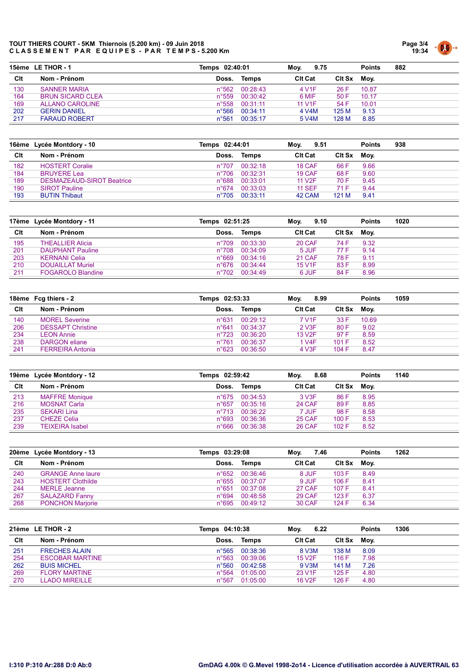

|     | 15ème LE THOR - 1       | Temps 02:40:01  |                         | 9.75<br>Mov.       |             | <b>Points</b> | 882 |
|-----|-------------------------|-----------------|-------------------------|--------------------|-------------|---------------|-----|
| Clt | Nom - Prénom            | Doss.           | Temps                   | <b>CIt Cat</b>     | Cit Sx Moy. |               |     |
| 130 | <b>SANNER MARIA</b>     |                 | $n^{\circ}562$ 00:28:43 | 4 V <sub>1</sub> F | 26 F        | 10.87         |     |
| 164 | <b>BRUN SICARD CLEA</b> | $n^{\circ}559$  | 00:30:42                | 6 MIF              | 50 F        | 10.17         |     |
| 169 | ALLANO CAROLINE         | $n^{\circ}558$  | 00:31:11                | <b>11 V1F</b>      | 54 F        | 10.01         |     |
| 202 | <b>GERIN DANIEL</b>     | $n^{\circ}$ 566 | 00:34:11                | 4 V4M              | 125 M       | 9.13          |     |
| 217 | <b>FARAUD ROBERT</b>    | n°561           | 00:35:17                | 5 V4M              | 128 M       | 8.85          |     |

|     | 16ème Lycée Montdory - 10        | Temps 02:44:01 |          | 9.51<br>Mov.        |               | <b>Points</b> | 938 |
|-----|----------------------------------|----------------|----------|---------------------|---------------|---------------|-----|
| Clt | Nom - Prénom                     | Doss.          | Temps    | <b>CIt Cat</b>      | <b>CIt Sx</b> | Mov.          |     |
| 182 | <b>HOSTERT Coralie</b>           | $n^{\circ}707$ | 00:32:18 | 18 CAF              | 66 F          | 9.66          |     |
| 184 | <b>BRUYERE Lea</b>               | $n^{\circ}706$ | 00:32:31 | 19 CAF              | 68 F          | 9.60          |     |
| 189 | <b>DESMAZEAUD-SIROT Beatrice</b> | $n^{\circ}688$ | 00:33:01 | 11 V <sub>2</sub> F | 70 F          | 9.45          |     |
| 190 | <b>SIROT Pauline</b>             | $n^{\circ}674$ | 00:33:03 | <b>11 SEF</b>       | 71 F          | 9.44          |     |
| 193 | <b>BUTIN Thibaut</b>             | $n^{\circ}705$ | 00:33:11 | 42 CAM              | 121 M         | 9.41          |     |

|     | 17ème Lycée Montdory - 11 | Temps 02:51:25 |          | Mov.<br>9.10   |        | <b>Points</b> | 1020 |
|-----|---------------------------|----------------|----------|----------------|--------|---------------|------|
| Clt | Nom - Prénom              | Doss.          | Temps    | <b>CIt Cat</b> | Clt Sx | Mov.          |      |
| 195 | <b>THEALLIER Alicia</b>   | n°709          | 00:33:30 | 20 CAF         | 74 F   | 9.32          |      |
| 201 | <b>DAUPHANT Pauline</b>   | $n^{\circ}708$ | 00:34:09 | 5 JUF          | 77 F   | 9.14          |      |
| 203 | <b>KERNANI Celia</b>      | $n^{\circ}669$ | 00:34:16 | 21 CAF         | 78 F   | 9.11          |      |
| 210 | <b>DOUAILLAT Muriel</b>   | $n^{\circ}676$ | 00:34:44 | <b>15 V1F</b>  | 83 F   | 8.99          |      |
| 211 | FOGAROLO Blandine         | n°702          | 00:34:49 | 6 JUF          | 84 F   | 8.96          |      |

|     | 18ème Fcg thiers - 2     | Temps 02:53:33 |          | 8.99<br>Moy.       |             | <b>Points</b> | 1059 |
|-----|--------------------------|----------------|----------|--------------------|-------------|---------------|------|
| Clt | Nom - Prénom             | Doss.          | Temps    | <b>CIt Cat</b>     | Cit Sx Moy. |               |      |
| 140 | <b>MOREL Severine</b>    | n°631          | 00:29:12 | 7 V <sub>1</sub> F | 33 F        | 10.69         |      |
| 206 | <b>DESSAPT Christine</b> | $n^{\circ}641$ | 00:34:37 | 2 V3F              | 80 F        | 9.02          |      |
| 234 | <b>LEON Annie</b>        | $n^{\circ}723$ | 00:36:20 | <b>13 V2F</b>      | 97 F        | 8.59          |      |
| 238 | DARGON eliane            | $n^{\circ}761$ | 00:36:37 | 1 V4F              | 101 F       | 8.52          |      |
| 241 | <b>FERREIRA Antonia</b>  | $n^{\circ}623$ | 00:36:50 | 4 V3F              | 104 F       | 8.47          |      |

|     | 19ème Lycée Montdory - 12 | Temps 02:59:42 |                | 8.68<br>Mov.   |        | <b>Points</b> | 1140 |
|-----|---------------------------|----------------|----------------|----------------|--------|---------------|------|
| Clt | Nom - Prénom              | Doss.          | Temps          | <b>CIt Cat</b> | Clt Sx | Moy.          |      |
| 213 | <b>MAFFRE Monique</b>     |                | n°675 00:34:53 | 3 V3F          | 86 F   | 8.95          |      |
| 216 | <b>MOSNAT Carla</b>       | $n^{\circ}657$ | 00:35:16       | 24 CAF         | 89F    | 8.85          |      |
| 235 | <b>SEKARI Lina</b>        |                | n°713 00:36:22 | 7 JUF          | 98 F   | 8.58          |      |
| 237 | <b>CHEZE Celia</b>        | $n^{\circ}693$ | 00:36:36       | 25 CAF         | 100 F  | 8.53          |      |
| 239 | <b>TEIXEIRA</b> Isabel    |                | n°666 00:36:38 | 26 CAF         | 102 F  | 8.52          |      |

|     | 20ème Lycée Montdory - 13 | Temps 03:29:08 |                | Mov.<br>7.46   |             | <b>Points</b> | 1262 |
|-----|---------------------------|----------------|----------------|----------------|-------------|---------------|------|
| Clt | Nom - Prénom              | Doss.          | Temps          | <b>CIt Cat</b> | Cit Sx Moy. |               |      |
| 240 | <b>GRANGE Anne laure</b>  |                | n°652 00:36:46 | 8 JUF          | 103 F       | 8.49          |      |
| 243 | <b>HOSTERT Clothilde</b>  |                | n°655 00:37:07 | 9 JUF          | 106 F       | 8.41          |      |
| 244 | <b>MERLE</b> Jeanne       | $n^{\circ}651$ | 00:37:08       | 27 CAF         | 107 F       | 8.41          |      |
| 267 | <b>SALAZARD Fanny</b>     | $n^{\circ}694$ | 00:48:58       | 29 CAF         | 123 F       | 6.37          |      |
| 268 | <b>PONCHON Marjorie</b>   |                | n°695 00:49:12 | 30 CAF         | 124 F       | 6.34          |      |

|     | 21ème LE THOR - 2      | Temps 04:10:38  |          | 6.22<br>Mov.        |             | <b>Points</b> | 1306 |
|-----|------------------------|-----------------|----------|---------------------|-------------|---------------|------|
| Clt | Nom - Prénom           | Doss.           | Temps    | <b>CIt Cat</b>      | Cit Sx Moy. |               |      |
| 251 | <b>FRECHES ALAIN</b>   | n°565           | 00:38:36 | 8 V3M               | 138 M       | 8.09          |      |
| 254 | <b>ESCOBAR MARTINE</b> | $n^{\circ}563$  | 00:39:06 | <b>15 V2F</b>       | 116 F       | 7.98          |      |
| 262 | <b>BUIS MICHEL</b>     | $n^{\circ}560$  | 00:42:58 | 9 V3M               | 141 M       | 7.26          |      |
| 269 | <b>FLORY MARTINE</b>   | $n^{\circ}$ 564 | 01:05:00 | 23 V <sub>1</sub> F | 125F        | 4.80          |      |
| 270 | <b>LLADO MIREILLE</b>  | $n^{\circ}567$  | 01:05:00 | <b>16 V2F</b>       | 126 F       | 4.80          |      |